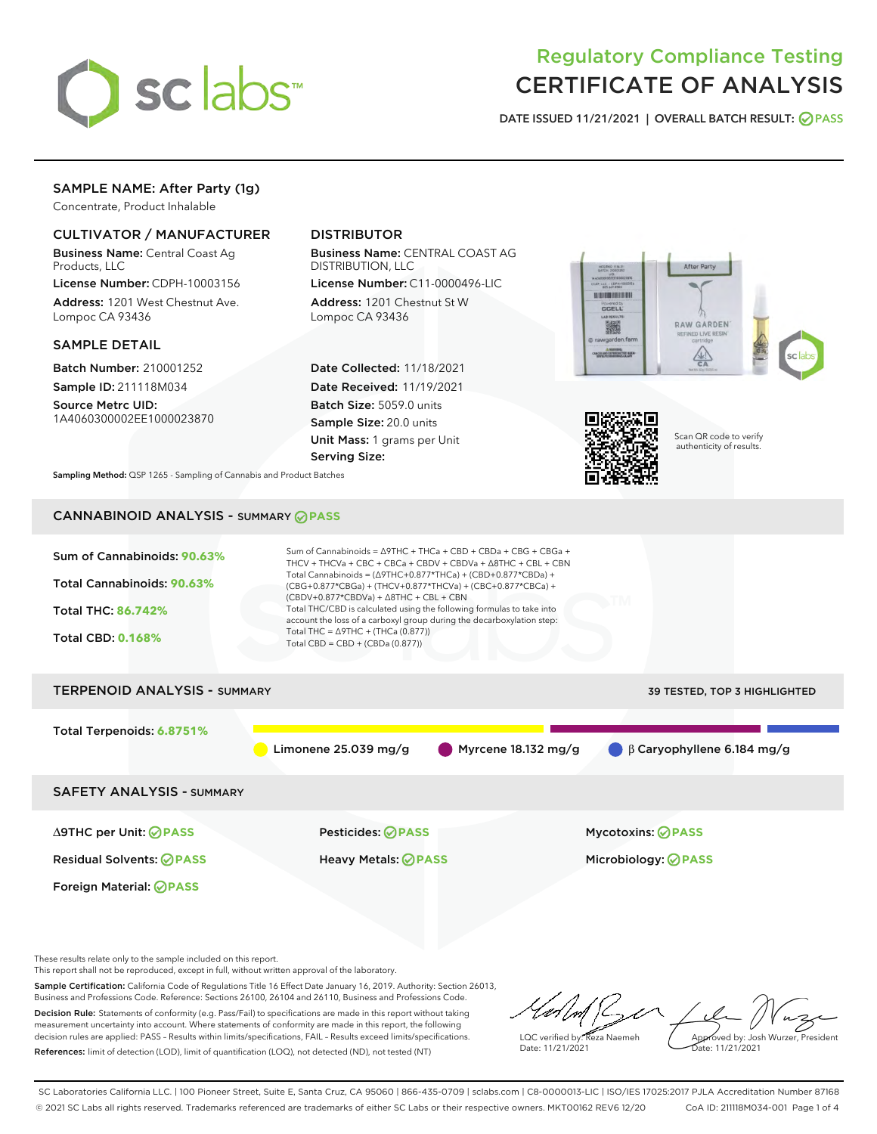

# Regulatory Compliance Testing CERTIFICATE OF ANALYSIS

DATE ISSUED 11/21/2021 | OVERALL BATCH RESULT: @ PASS

# SAMPLE NAME: After Party (1g)

Concentrate, Product Inhalable

# CULTIVATOR / MANUFACTURER

Business Name: Central Coast Ag Products, LLC

License Number: CDPH-10003156 Address: 1201 West Chestnut Ave. Lompoc CA 93436

## SAMPLE DETAIL

Batch Number: 210001252 Sample ID: 211118M034

Source Metrc UID: 1A4060300002EE1000023870

# DISTRIBUTOR

Business Name: CENTRAL COAST AG DISTRIBUTION, LLC

License Number: C11-0000496-LIC Address: 1201 Chestnut St W Lompoc CA 93436

Date Collected: 11/18/2021 Date Received: 11/19/2021 Batch Size: 5059.0 units Sample Size: 20.0 units Unit Mass: 1 grams per Unit Serving Size:





Scan QR code to verify authenticity of results.

Sampling Method: QSP 1265 - Sampling of Cannabis and Product Batches

# CANNABINOID ANALYSIS - SUMMARY **PASS**



This report shall not be reproduced, except in full, without written approval of the laboratory.

Sample Certification: California Code of Regulations Title 16 Effect Date January 16, 2019. Authority: Section 26013, Business and Professions Code. Reference: Sections 26100, 26104 and 26110, Business and Professions Code. Decision Rule: Statements of conformity (e.g. Pass/Fail) to specifications are made in this report without taking measurement uncertainty into account. Where statements of conformity are made in this report, the following

decision rules are applied: PASS – Results within limits/specifications, FAIL – Results exceed limits/specifications. References: limit of detection (LOD), limit of quantification (LOQ), not detected (ND), not tested (NT)

LQC verified by: Reza Naemeh Date: 11/21/2021 Approved by: Josh Wurzer, President Date: 11/21/2021

SC Laboratories California LLC. | 100 Pioneer Street, Suite E, Santa Cruz, CA 95060 | 866-435-0709 | sclabs.com | C8-0000013-LIC | ISO/IES 17025:2017 PJLA Accreditation Number 87168 © 2021 SC Labs all rights reserved. Trademarks referenced are trademarks of either SC Labs or their respective owners. MKT00162 REV6 12/20 CoA ID: 211118M034-001 Page 1 of 4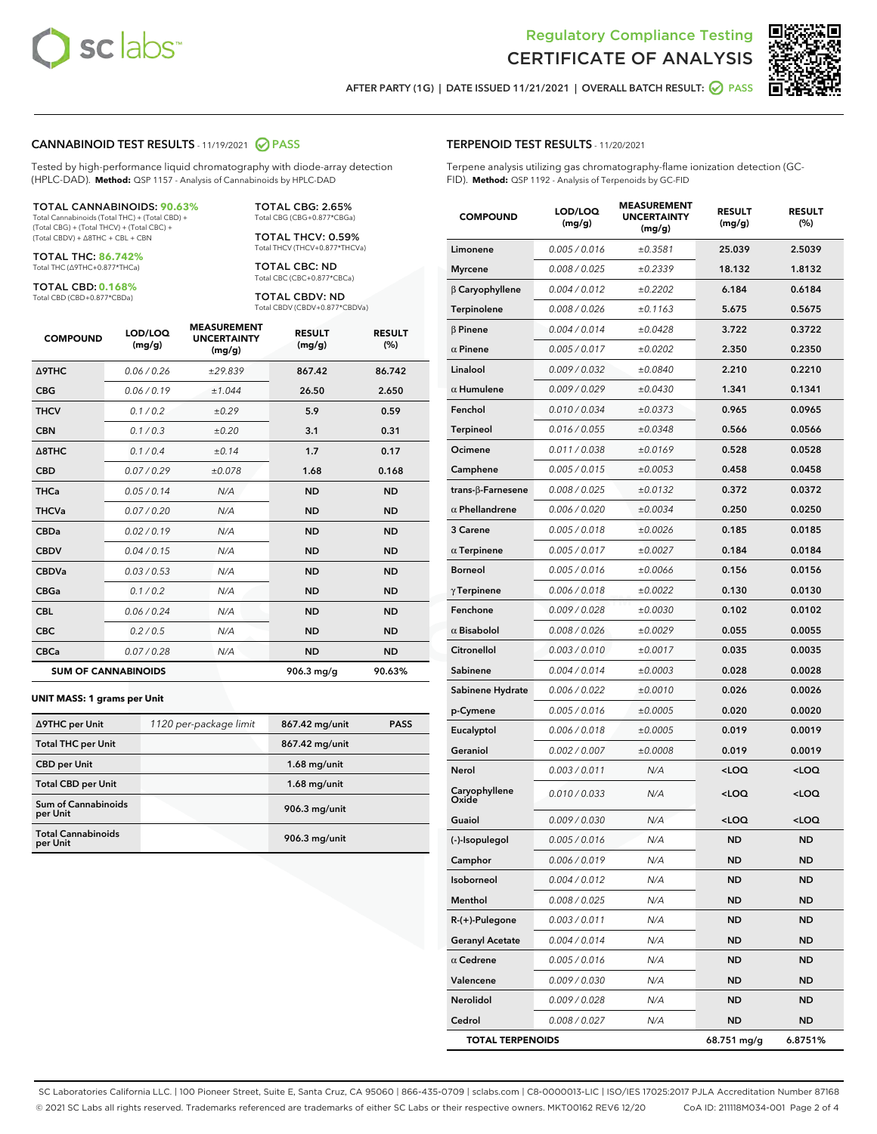



AFTER PARTY (1G) | DATE ISSUED 11/21/2021 | OVERALL BATCH RESULT: O PASS

### CANNABINOID TEST RESULTS - 11/19/2021 2 PASS

Tested by high-performance liquid chromatography with diode-array detection (HPLC-DAD). **Method:** QSP 1157 - Analysis of Cannabinoids by HPLC-DAD

#### TOTAL CANNABINOIDS: **90.63%**

Total Cannabinoids (Total THC) + (Total CBD) + (Total CBG) + (Total THCV) + (Total CBC) + (Total CBDV) + ∆8THC + CBL + CBN

TOTAL THC: **86.742%** Total THC (∆9THC+0.877\*THCa)

TOTAL CBD: **0.168%**

Total CBD (CBD+0.877\*CBDa)

TOTAL CBG: 2.65% Total CBG (CBG+0.877\*CBGa)

TOTAL THCV: 0.59% Total THCV (THCV+0.877\*THCVa)

TOTAL CBC: ND Total CBC (CBC+0.877\*CBCa)

TOTAL CBDV: ND Total CBDV (CBDV+0.877\*CBDVa)

| <b>COMPOUND</b>            | LOD/LOQ<br>(mg/g) | <b>MEASUREMENT</b><br><b>UNCERTAINTY</b><br>(mg/g) | <b>RESULT</b><br>(mg/g) | <b>RESULT</b><br>(%) |
|----------------------------|-------------------|----------------------------------------------------|-------------------------|----------------------|
| Δ9THC                      | 0.06 / 0.26       | ±29.839                                            | 867.42                  | 86.742               |
| <b>CBG</b>                 | 0.06/0.19         | ±1.044                                             | 26.50                   | 2.650                |
| <b>THCV</b>                | 0.1 / 0.2         | ±0.29                                              | 5.9                     | 0.59                 |
| <b>CBN</b>                 | 0.1/0.3           | ±0.20                                              | 3.1                     | 0.31                 |
| $\triangle$ 8THC           | 0.1 / 0.4         | ±0.14                                              | 1.7                     | 0.17                 |
| <b>CBD</b>                 | 0.07/0.29         | ±0.078                                             | 1.68                    | 0.168                |
| <b>THCa</b>                | 0.05/0.14         | N/A                                                | <b>ND</b>               | <b>ND</b>            |
| <b>THCVa</b>               | 0.07/0.20         | N/A                                                | <b>ND</b>               | <b>ND</b>            |
| <b>CBDa</b>                | 0.02/0.19         | N/A                                                | <b>ND</b>               | <b>ND</b>            |
| <b>CBDV</b>                | 0.04 / 0.15       | N/A                                                | <b>ND</b>               | <b>ND</b>            |
| <b>CBDVa</b>               | 0.03/0.53         | N/A                                                | <b>ND</b>               | <b>ND</b>            |
| <b>CBGa</b>                | 0.1 / 0.2         | N/A                                                | <b>ND</b>               | <b>ND</b>            |
| <b>CBL</b>                 | 0.06 / 0.24       | N/A                                                | <b>ND</b>               | <b>ND</b>            |
| <b>CBC</b>                 | 0.2 / 0.5         | N/A                                                | <b>ND</b>               | <b>ND</b>            |
| <b>CBCa</b>                | 0.07/0.28         | N/A                                                | <b>ND</b>               | <b>ND</b>            |
| <b>SUM OF CANNABINOIDS</b> |                   |                                                    | $906.3$ mg/g            | 90.63%               |

#### **UNIT MASS: 1 grams per Unit**

| ∆9THC per Unit                         | 1120 per-package limit | 867.42 mg/unit  | <b>PASS</b> |
|----------------------------------------|------------------------|-----------------|-------------|
| <b>Total THC per Unit</b>              |                        | 867.42 mg/unit  |             |
| <b>CBD per Unit</b>                    |                        | $1.68$ mg/unit  |             |
| <b>Total CBD per Unit</b>              |                        | $1.68$ mg/unit  |             |
| <b>Sum of Cannabinoids</b><br>per Unit |                        | 906.3 mg/unit   |             |
| <b>Total Cannabinoids</b><br>per Unit  |                        | $906.3$ mg/unit |             |

# TERPENOID TEST RESULTS - 11/20/2021

Terpene analysis utilizing gas chromatography-flame ionization detection (GC-FID). **Method:** QSP 1192 - Analysis of Terpenoids by GC-FID

| <b>COMPOUND</b>          | LOD/LOQ<br>(mg/g) | <b>MEASUREMENT</b><br><b>UNCERTAINTY</b><br>(mg/g) | <b>RESULT</b><br>(mg/g)                         | <b>RESULT</b><br>(%) |
|--------------------------|-------------------|----------------------------------------------------|-------------------------------------------------|----------------------|
| Limonene                 | 0.005 / 0.016     | ±0.3581                                            | 25.039                                          | 2.5039               |
| <b>Myrcene</b>           | 0.008 / 0.025     | ±0.2339                                            | 18.132                                          | 1.8132               |
| β Caryophyllene          | 0.004 / 0.012     | ±0.2202                                            | 6.184                                           | 0.6184               |
| <b>Terpinolene</b>       | 0.008 / 0.026     | ±0.1163                                            | 5.675                                           | 0.5675               |
| $\beta$ Pinene           | 0.004 / 0.014     | ±0.0428                                            | 3.722                                           | 0.3722               |
| $\alpha$ Pinene          | 0.005 / 0.017     | ±0.0202                                            | 2.350                                           | 0.2350               |
| Linalool                 | 0.009 / 0.032     | ±0.0840                                            | 2.210                                           | 0.2210               |
| $\alpha$ Humulene        | 0.009/0.029       | ±0.0430                                            | 1.341                                           | 0.1341               |
| Fenchol                  | 0.010 / 0.034     | ±0.0373                                            | 0.965                                           | 0.0965               |
| Terpineol                | 0.016 / 0.055     | ±0.0348                                            | 0.566                                           | 0.0566               |
| Ocimene                  | 0.011 / 0.038     | ±0.0169                                            | 0.528                                           | 0.0528               |
| Camphene                 | 0.005 / 0.015     | ±0.0053                                            | 0.458                                           | 0.0458               |
| $trans-\beta$ -Farnesene | 0.008 / 0.025     | ±0.0132                                            | 0.372                                           | 0.0372               |
| $\alpha$ Phellandrene    | 0.006 / 0.020     | ±0.0034                                            | 0.250                                           | 0.0250               |
| 3 Carene                 | 0.005 / 0.018     | ±0.0026                                            | 0.185                                           | 0.0185               |
| $\alpha$ Terpinene       | 0.005 / 0.017     | ±0.0027                                            | 0.184                                           | 0.0184               |
| <b>Borneol</b>           | 0.005 / 0.016     | ±0.0066                                            | 0.156                                           | 0.0156               |
| $\gamma$ Terpinene       | 0.006 / 0.018     | ±0.0022                                            | 0.130                                           | 0.0130               |
| Fenchone                 | 0.009 / 0.028     | ±0.0030                                            | 0.102                                           | 0.0102               |
| $\alpha$ Bisabolol       | 0.008 / 0.026     | ±0.0029                                            | 0.055                                           | 0.0055               |
| Citronellol              | 0.003 / 0.010     | ±0.0017                                            | 0.035                                           | 0.0035               |
| Sabinene                 | 0.004 / 0.014     | ±0.0003                                            | 0.028                                           | 0.0028               |
| Sabinene Hydrate         | 0.006 / 0.022     | ±0.0010                                            | 0.026                                           | 0.0026               |
| p-Cymene                 | 0.005 / 0.016     | ±0.0005                                            | 0.020                                           | 0.0020               |
| Eucalyptol               | 0.006 / 0.018     | ±0.0005                                            | 0.019                                           | 0.0019               |
| Geraniol                 | 0.002 / 0.007     | ±0.0008                                            | 0.019                                           | 0.0019               |
| Nerol                    | 0.003/0.011       | N/A                                                | <loq< th=""><th><loq< th=""></loq<></th></loq<> | <loq< th=""></loq<>  |
| Caryophyllene<br>Oxide   | 0.010 / 0.033     | N/A                                                | <loq< th=""><th><loq< th=""></loq<></th></loq<> | <loq< th=""></loq<>  |
| Guaiol                   | 0.009 / 0.030     | N/A                                                | <loq< th=""><th><loq< th=""></loq<></th></loq<> | <loq< th=""></loq<>  |
| (-)-Isopulegol           | 0.005 / 0.016     | N/A                                                | <b>ND</b>                                       | <b>ND</b>            |
| Camphor                  | 0.006 / 0.019     | N/A                                                | ND                                              | ND                   |
| Isoborneol               | 0.004 / 0.012     | N/A                                                | ND                                              | ND                   |
| Menthol                  | 0.008 / 0.025     | N/A                                                | ND                                              | ND                   |
| R-(+)-Pulegone           | 0.003 / 0.011     | N/A                                                | ND                                              | ND                   |
| <b>Geranyl Acetate</b>   | 0.004 / 0.014     | N/A                                                | ND                                              | ND                   |
| $\alpha$ Cedrene         | 0.005 / 0.016     | N/A                                                | ND                                              | ND                   |
| Valencene                | 0.009 / 0.030     | N/A                                                | <b>ND</b>                                       | ND                   |
| Nerolidol                | 0.009 / 0.028     | N/A                                                | ND                                              | ND                   |
| Cedrol                   | 0.008 / 0.027     | N/A                                                | ND                                              | ND                   |
| <b>TOTAL TERPENOIDS</b>  |                   |                                                    | 68.751 mg/g                                     | 6.8751%              |

SC Laboratories California LLC. | 100 Pioneer Street, Suite E, Santa Cruz, CA 95060 | 866-435-0709 | sclabs.com | C8-0000013-LIC | ISO/IES 17025:2017 PJLA Accreditation Number 87168 © 2021 SC Labs all rights reserved. Trademarks referenced are trademarks of either SC Labs or their respective owners. MKT00162 REV6 12/20 CoA ID: 211118M034-001 Page 2 of 4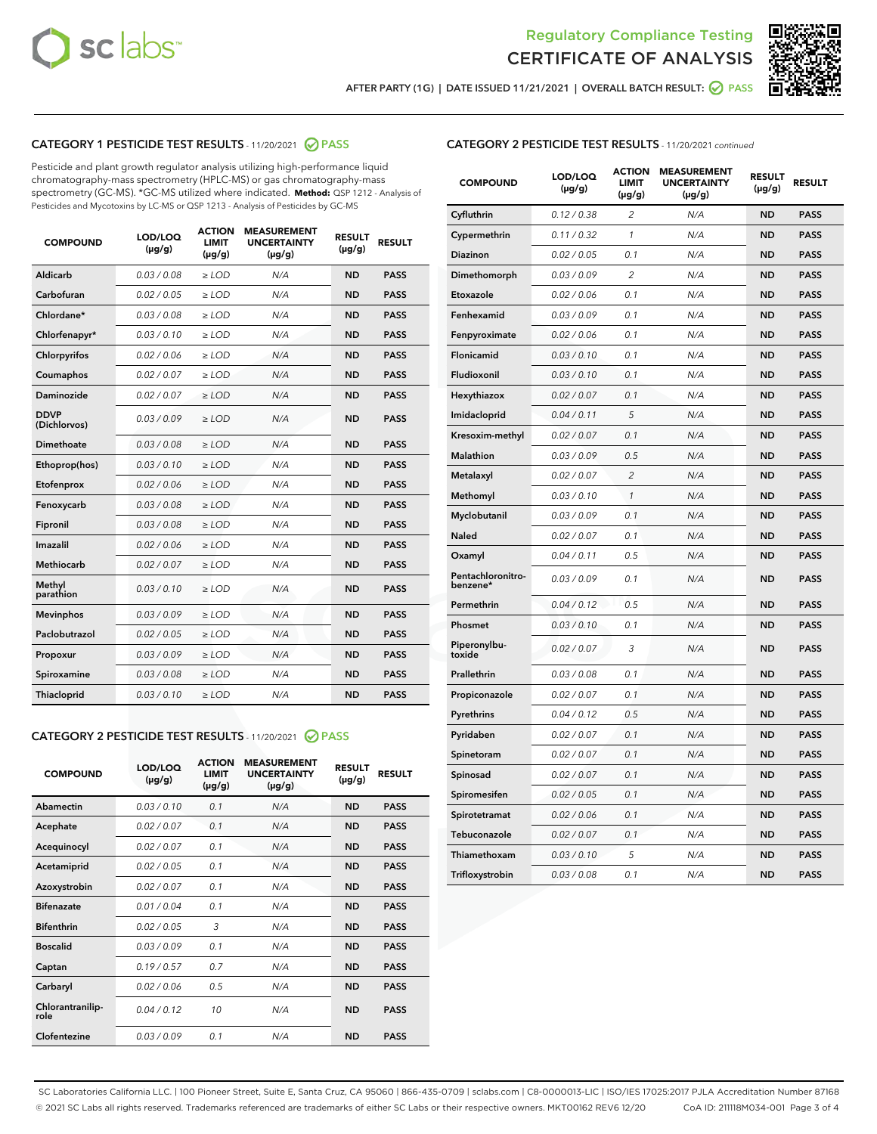



AFTER PARTY (1G) | DATE ISSUED 11/21/2021 | OVERALL BATCH RESULT: 2 PASS

# CATEGORY 1 PESTICIDE TEST RESULTS - 11/20/2021 2 PASS

Pesticide and plant growth regulator analysis utilizing high-performance liquid chromatography-mass spectrometry (HPLC-MS) or gas chromatography-mass spectrometry (GC-MS). \*GC-MS utilized where indicated. **Method:** QSP 1212 - Analysis of Pesticides and Mycotoxins by LC-MS or QSP 1213 - Analysis of Pesticides by GC-MS

| <b>COMPOUND</b>             | LOD/LOQ<br>$(\mu g/g)$ | <b>ACTION</b><br><b>LIMIT</b><br>$(\mu q/q)$ | <b>MEASUREMENT</b><br><b>UNCERTAINTY</b><br>$(\mu g/g)$ | <b>RESULT</b><br>$(\mu g/g)$ | <b>RESULT</b> |
|-----------------------------|------------------------|----------------------------------------------|---------------------------------------------------------|------------------------------|---------------|
| Aldicarb                    | 0.03/0.08              | $\ge$ LOD                                    | N/A                                                     | <b>ND</b>                    | <b>PASS</b>   |
| Carbofuran                  | 0.02 / 0.05            | $\ge$ LOD                                    | N/A                                                     | <b>ND</b>                    | <b>PASS</b>   |
| Chlordane*                  | 0.03 / 0.08            | $\ge$ LOD                                    | N/A                                                     | <b>ND</b>                    | <b>PASS</b>   |
| Chlorfenapyr*               | 0.03/0.10              | $\ge$ LOD                                    | N/A                                                     | <b>ND</b>                    | <b>PASS</b>   |
| Chlorpyrifos                | 0.02 / 0.06            | $\ge$ LOD                                    | N/A                                                     | <b>ND</b>                    | <b>PASS</b>   |
| Coumaphos                   | 0.02 / 0.07            | $\ge$ LOD                                    | N/A                                                     | <b>ND</b>                    | <b>PASS</b>   |
| Daminozide                  | 0.02 / 0.07            | $\ge$ LOD                                    | N/A                                                     | <b>ND</b>                    | <b>PASS</b>   |
| <b>DDVP</b><br>(Dichlorvos) | 0.03/0.09              | $\ge$ LOD                                    | N/A                                                     | <b>ND</b>                    | <b>PASS</b>   |
| Dimethoate                  | 0.03 / 0.08            | $\ge$ LOD                                    | N/A                                                     | <b>ND</b>                    | <b>PASS</b>   |
| Ethoprop(hos)               | 0.03/0.10              | $\ge$ LOD                                    | N/A                                                     | <b>ND</b>                    | <b>PASS</b>   |
| Etofenprox                  | 0.02/0.06              | $>$ LOD                                      | N/A                                                     | <b>ND</b>                    | <b>PASS</b>   |
| Fenoxycarb                  | 0.03 / 0.08            | $\ge$ LOD                                    | N/A                                                     | <b>ND</b>                    | <b>PASS</b>   |
| Fipronil                    | 0.03/0.08              | $>$ LOD                                      | N/A                                                     | <b>ND</b>                    | <b>PASS</b>   |
| Imazalil                    | 0.02 / 0.06            | $\ge$ LOD                                    | N/A                                                     | <b>ND</b>                    | <b>PASS</b>   |
| Methiocarb                  | 0.02 / 0.07            | $\ge$ LOD                                    | N/A                                                     | <b>ND</b>                    | <b>PASS</b>   |
| Methyl<br>parathion         | 0.03/0.10              | $>$ LOD                                      | N/A                                                     | <b>ND</b>                    | <b>PASS</b>   |
| <b>Mevinphos</b>            | 0.03/0.09              | $>$ LOD                                      | N/A                                                     | <b>ND</b>                    | <b>PASS</b>   |
| Paclobutrazol               | 0.02 / 0.05            | $>$ LOD                                      | N/A                                                     | <b>ND</b>                    | <b>PASS</b>   |
| Propoxur                    | 0.03/0.09              | $\ge$ LOD                                    | N/A                                                     | <b>ND</b>                    | <b>PASS</b>   |
| Spiroxamine                 | 0.03 / 0.08            | $\ge$ LOD                                    | N/A                                                     | <b>ND</b>                    | <b>PASS</b>   |
| Thiacloprid                 | 0.03/0.10              | $\ge$ LOD                                    | N/A                                                     | <b>ND</b>                    | <b>PASS</b>   |

#### CATEGORY 2 PESTICIDE TEST RESULTS - 11/20/2021 @ PASS

| <b>COMPOUND</b>          | LOD/LOO<br>$(\mu g/g)$ | <b>ACTION</b><br>LIMIT<br>$(\mu g/g)$ | <b>MEASUREMENT</b><br><b>UNCERTAINTY</b><br>$(\mu g/g)$ | <b>RESULT</b><br>$(\mu g/g)$ | <b>RESULT</b> |  |
|--------------------------|------------------------|---------------------------------------|---------------------------------------------------------|------------------------------|---------------|--|
| Abamectin                | 0.03/0.10              | 0.1                                   | N/A                                                     | <b>ND</b>                    | <b>PASS</b>   |  |
| Acephate                 | 0.02/0.07              | 0.1                                   | N/A                                                     | <b>ND</b>                    | <b>PASS</b>   |  |
| Acequinocyl              | 0.02/0.07              | 0.1                                   | N/A                                                     | <b>ND</b>                    | <b>PASS</b>   |  |
| Acetamiprid              | 0.02/0.05              | 0.1                                   | N/A                                                     | <b>ND</b>                    | <b>PASS</b>   |  |
| Azoxystrobin             | 0.02/0.07              | 0.1                                   | N/A                                                     | <b>ND</b>                    | <b>PASS</b>   |  |
| <b>Bifenazate</b>        | 0.01 / 0.04            | 0.1                                   | N/A                                                     | <b>ND</b>                    | <b>PASS</b>   |  |
| <b>Bifenthrin</b>        | 0.02/0.05              | 3                                     | N/A                                                     | <b>ND</b>                    | <b>PASS</b>   |  |
| <b>Boscalid</b>          | 0.03/0.09              | 0.1                                   | N/A                                                     | <b>ND</b>                    | <b>PASS</b>   |  |
| Captan                   | 0.19/0.57              | 0.7                                   | N/A                                                     | <b>ND</b>                    | <b>PASS</b>   |  |
| Carbaryl                 | 0.02/0.06              | 0.5                                   | N/A                                                     | <b>ND</b>                    | <b>PASS</b>   |  |
| Chlorantranilip-<br>role | 0.04/0.12              | 10                                    | N/A                                                     | <b>ND</b>                    | <b>PASS</b>   |  |
| Clofentezine             | 0.03/0.09              | 0.1                                   | N/A                                                     | <b>ND</b>                    | <b>PASS</b>   |  |

| <b>COMPOUND</b>               | LOD/LOQ<br>(µg/g) | <b>ACTION</b><br><b>LIMIT</b><br>(µg/g) | <b>MEASUREMENT</b><br><b>UNCERTAINTY</b><br>$(\mu g/g)$ | <b>RESULT</b><br>(µg/g) | <b>RESULT</b> |
|-------------------------------|-------------------|-----------------------------------------|---------------------------------------------------------|-------------------------|---------------|
| Cyfluthrin                    | 0.12 / 0.38       | $\overline{c}$                          | N/A                                                     | <b>ND</b>               | <b>PASS</b>   |
| Cypermethrin                  | 0.11 / 0.32       | 1                                       | N/A                                                     | <b>ND</b>               | <b>PASS</b>   |
| <b>Diazinon</b>               | 0.02 / 0.05       | 0.1                                     | N/A                                                     | <b>ND</b>               | <b>PASS</b>   |
| Dimethomorph                  | 0.03 / 0.09       | 2                                       | N/A                                                     | <b>ND</b>               | <b>PASS</b>   |
| Etoxazole                     | 0.02 / 0.06       | 0.1                                     | N/A                                                     | <b>ND</b>               | <b>PASS</b>   |
| Fenhexamid                    | 0.03 / 0.09       | 0.1                                     | N/A                                                     | <b>ND</b>               | <b>PASS</b>   |
| Fenpyroximate                 | 0.02 / 0.06       | 0.1                                     | N/A                                                     | <b>ND</b>               | <b>PASS</b>   |
| Flonicamid                    | 0.03 / 0.10       | 0.1                                     | N/A                                                     | <b>ND</b>               | <b>PASS</b>   |
| Fludioxonil                   | 0.03 / 0.10       | 0.1                                     | N/A                                                     | <b>ND</b>               | <b>PASS</b>   |
| Hexythiazox                   | 0.02 / 0.07       | 0.1                                     | N/A                                                     | <b>ND</b>               | <b>PASS</b>   |
| Imidacloprid                  | 0.04 / 0.11       | 5                                       | N/A                                                     | <b>ND</b>               | <b>PASS</b>   |
| Kresoxim-methyl               | 0.02 / 0.07       | 0.1                                     | N/A                                                     | <b>ND</b>               | <b>PASS</b>   |
| Malathion                     | 0.03 / 0.09       | 0.5                                     | N/A                                                     | <b>ND</b>               | <b>PASS</b>   |
| Metalaxyl                     | 0.02 / 0.07       | $\overline{c}$                          | N/A                                                     | <b>ND</b>               | <b>PASS</b>   |
| Methomyl                      | 0.03 / 0.10       | $\mathcal{I}$                           | N/A                                                     | <b>ND</b>               | <b>PASS</b>   |
| Myclobutanil                  | 0.03 / 0.09       | 0.1                                     | N/A                                                     | <b>ND</b>               | <b>PASS</b>   |
| <b>Naled</b>                  | 0.02 / 0.07       | 0.1                                     | N/A                                                     | <b>ND</b>               | <b>PASS</b>   |
| Oxamyl                        | 0.04 / 0.11       | 0.5                                     | N/A                                                     | <b>ND</b>               | <b>PASS</b>   |
| Pentachloronitro-<br>benzene* | 0.03/0.09         | 0.1                                     | N/A                                                     | <b>ND</b>               | <b>PASS</b>   |
| Permethrin                    | 0.04 / 0.12       | 0.5                                     | N/A                                                     | <b>ND</b>               | <b>PASS</b>   |
| Phosmet                       | 0.03 / 0.10       | 0.1                                     | N/A                                                     | <b>ND</b>               | <b>PASS</b>   |
| Piperonylbu-<br>toxide        | 0.02 / 0.07       | 3                                       | N/A                                                     | <b>ND</b>               | <b>PASS</b>   |
| Prallethrin                   | 0.03 / 0.08       | 0.1                                     | N/A                                                     | <b>ND</b>               | <b>PASS</b>   |
| Propiconazole                 | 0.02 / 0.07       | 0.1                                     | N/A                                                     | <b>ND</b>               | <b>PASS</b>   |
| Pyrethrins                    | 0.04 / 0.12       | 0.5                                     | N/A                                                     | <b>ND</b>               | <b>PASS</b>   |
| Pyridaben                     | 0.02 / 0.07       | 0.1                                     | N/A                                                     | <b>ND</b>               | <b>PASS</b>   |
| Spinetoram                    | 0.02 / 0.07       | 0.1                                     | N/A                                                     | <b>ND</b>               | <b>PASS</b>   |
| Spinosad                      | 0.02 / 0.07       | 0.1                                     | N/A                                                     | <b>ND</b>               | <b>PASS</b>   |
| Spiromesifen                  | 0.02 / 0.05       | 0.1                                     | N/A                                                     | <b>ND</b>               | <b>PASS</b>   |
| Spirotetramat                 | 0.02 / 0.06       | 0.1                                     | N/A                                                     | ND                      | <b>PASS</b>   |
| Tebuconazole                  | 0.02 / 0.07       | 0.1                                     | N/A                                                     | <b>ND</b>               | <b>PASS</b>   |
| Thiamethoxam                  | 0.03 / 0.10       | 5                                       | N/A                                                     | <b>ND</b>               | <b>PASS</b>   |
| Trifloxystrobin               | 0.03 / 0.08       | 0.1                                     | N/A                                                     | <b>ND</b>               | <b>PASS</b>   |

SC Laboratories California LLC. | 100 Pioneer Street, Suite E, Santa Cruz, CA 95060 | 866-435-0709 | sclabs.com | C8-0000013-LIC | ISO/IES 17025:2017 PJLA Accreditation Number 87168 © 2021 SC Labs all rights reserved. Trademarks referenced are trademarks of either SC Labs or their respective owners. MKT00162 REV6 12/20 CoA ID: 211118M034-001 Page 3 of 4